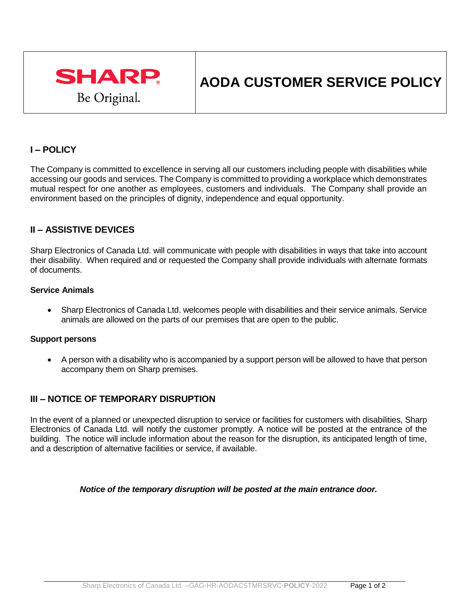

# **AODA CUSTOMER SERVICE POLICY**

# **I – POLICY**

The Company is committed to excellence in serving all our customers including people with disabilities while accessing our goods and services. The Company is committed to providing a workplace which demonstrates mutual respect for one another as employees, customers and individuals. The Company shall provide an environment based on the principles of dignity, independence and equal opportunity.

## **II – ASSISTIVE DEVICES**

Sharp Electronics of Canada Ltd. will communicate with people with disabilities in ways that take into account their disability. When required and or requested the Company shall provide individuals with alternate formats of documents.

## **Service Animals**

 Sharp Electronics of Canada Ltd. welcomes people with disabilities and their service animals. Service animals are allowed on the parts of our premises that are open to the public.

#### **Support persons**

 A person with a disability who is accompanied by a support person will be allowed to have that person accompany them on Sharp premises.

## **III – NOTICE OF TEMPORARY DISRUPTION**

In the event of a planned or unexpected disruption to service or facilities for customers with disabilities, Sharp Electronics of Canada Ltd. will notify the customer promptly. A notice will be posted at the entrance of the building. The notice will include information about the reason for the disruption, its anticipated length of time, and a description of alternative facilities or service, if available.

#### *Notice of the temporary disruption will be posted at the main entrance door.*